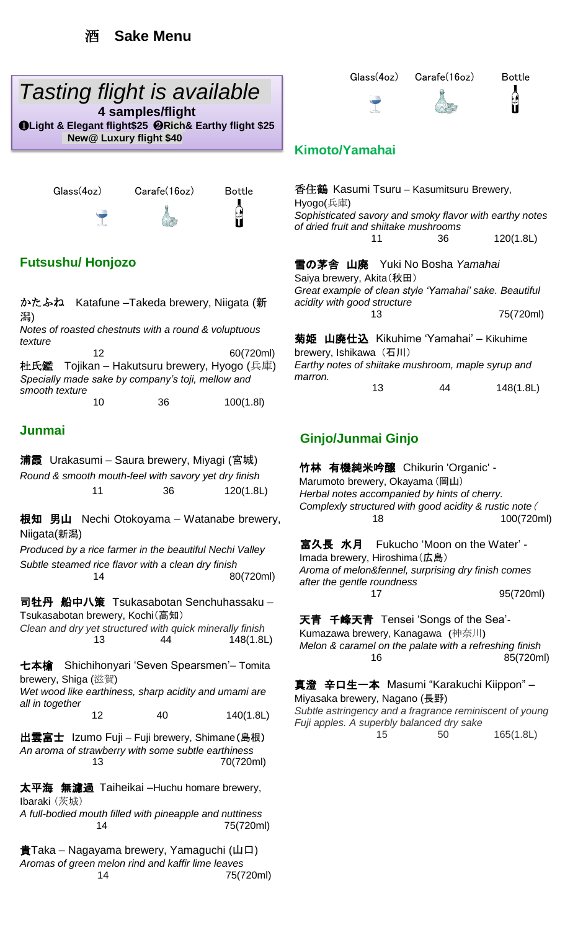# *Tasting flight is available*

Ļ **4 samples/flight** ❶**Light & Elegant flight\$25** ❷**Rich& Earthy flight \$25 New@ Luxury flight \$40**

Glass(4oz) Carafe(16oz) Bottle



### **Futsushu/ Honjozo**

かたふね Katafune –Takeda brewery, Niigata (新 潟)

*Notes of roasted chestnuts with a round & voluptuous texture*

12 60(720ml) 杜氏鑑 Tojikan – Hakutsuru brewery, Hyogo (兵庫) *Specially made sake by company's toji, mellow and smooth texture*  10 36 100(1.8l)

#### **Junmai**

浦霞 Urakasumi – Saura brewery, Miyagi (宮城) *Round & smooth mouth-feel with savory yet dry finish* 11 36 120(1.8L)

根知 男山 Nechi Otokoyama – Watanabe brewery, Niigata(新潟)

*Produced by a rice farmer in the beautiful Nechi Valley Subtle steamed rice flavor with a clean dry finish* 14 80(720ml)

司牡丹 船中八策 Tsukasabotan Senchuhassaku – Tsukasabotan brewery, Kochi(高知) *Clean and dry yet structured with quick minerally finish* 13 44 148(1.8L)

七本槍 Shichihonyari 'Seven Spearsmen'– Tomita

brewery, Shiga (滋賀) *Wet wood like earthiness, sharp acidity and umami are all in together* 

12 40 140(1.8L)

出雲富士 Izumo Fuji – Fuji brewery, Shimane(島根) *An aroma of strawberry with some subtle earthiness* 13 70(720ml)

太平海 無濾過 Taiheikai –Huchu homare brewery, Ibaraki (茨城)

*A full-bodied mouth filled with pineapple and nuttiness* 14 75(720ml)

貴Taka – Nagayama brewery, Yamaguchi (山口) *Aromas of green melon rind and kaffir lime leaves*  14 75(720ml)



#### **Kimoto/Yamahai**

| 香住鶴 Kasumi Tsuru – Kasumitsuru Brewery,<br>Hyogo(兵庫)      |    |    |           |
|-----------------------------------------------------------|----|----|-----------|
| Sophisticated savory and smoky flavor with earthy notes   |    |    |           |
| of dried fruit and shiitake mushrooms                     |    |    |           |
|                                                           | 11 | 36 | 120(1.8L) |
| 雪の茅舎 山廃 Yuki No Bosha Yamahai<br>Saiya brewery, Akita(秋田) |    |    |           |
|                                                           |    |    |           |
| Great example of clean style 'Yamahai' sake. Beautiful    |    |    |           |
| acidity with good structure                               |    |    |           |
|                                                           |    |    | 75(720ml) |

菊姫 山廃仕込 Kikuhime 'Yamahai' – Kikuhime brewery, Ishikawa (石川) *Earthy notes of shiitake mushroom, maple syrup and marron.*  13 44 148(1.8L)

### **Ginjo/Junmai Ginjo**

竹林 有機純米吟醸 Chikurin 'Organic' - Marumoto brewery, Okayama (岡山) *Herbal notes accompanied by hints of cherry. Complexly structured with good acidity & rustic note*( 18 100(720ml)

富久長 水月 Fukucho 'Moon on the Water' -Imada brewery, Hiroshima(広島) *Aroma of melon&fennel, surprising dry finish comes after the gentle roundness* 17 95(720ml)

天青 千峰天青 Tensei 'Songs of the Sea'- Kumazawa brewery, Kanagawa **(**神奈川**)** *Melon & caramel on the palate with a refreshing finish* 16 85(720ml)

真澄 辛口生一本 Masumi "Karakuchi Kiippon" – Miyasaka brewery, Nagano (長野)

*Subtle astringency and a fragrance reminiscent of young Fuji apples. A superbly balanced dry sake*

15 50 165(1.8L)